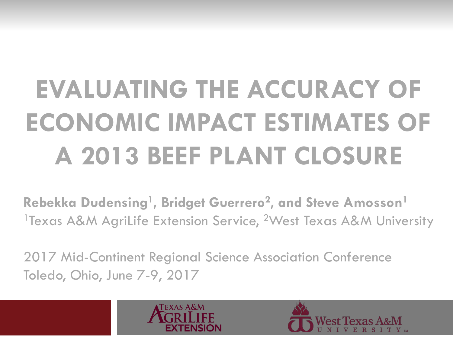# **EVALUATING THE ACCURACY OF ECONOMIC IMPACT ESTIMATES OF A 2013 BEEF PLANT CLOSURE**

**Rebekka Dudensing1, Bridget Guerrero2, and Steve Amosson1** <sup>1</sup>Texas A&M AgriLife Extension Service, <sup>2</sup>West Texas A&M University

2017 Mid-Continent Regional Science Association Conference Toledo, Ohio, June 7-9, 2017

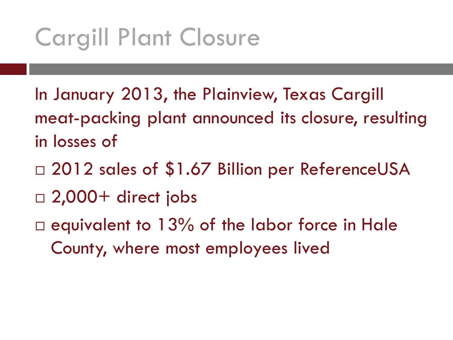#### Cargill Plant Closure

- In January 2013, the Plainview, Texas Cargill meat-packing plant announced its closure, resulting in losses of
- □ 2012 sales of \$1.67 Billion per ReferenceUSA
- $\Box$  2,000+ direct jobs
- $\Box$  equivalent to 13% of the labor force in Hale County, where most employees lived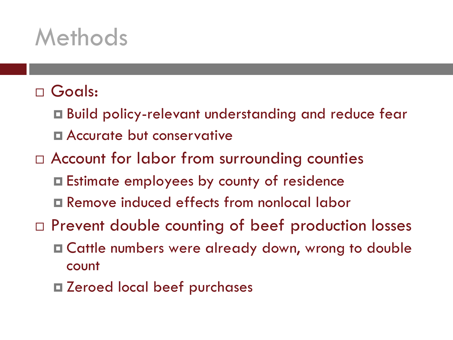#### Methods

#### Goals:

- Build policy-relevant understanding and reduce fear **E** Accurate but conservative
- □ Account for labor from surrounding counties
	- Estimate employees by county of residence
	- Remove induced effects from nonlocal labor
- Prevent double counting of beef production losses
	- Cattle numbers were already down, wrong to double count
	- Zeroed local beef purchases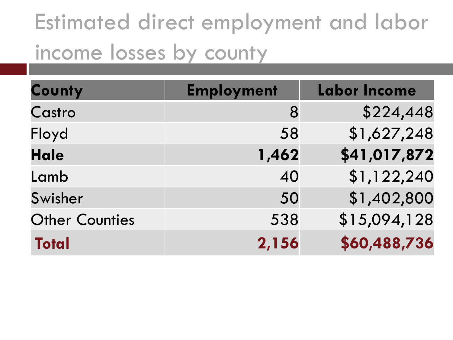#### Estimated direct employment and labor income losses by county

| County                | <b>Employment</b> | <b>Labor Income</b> |
|-----------------------|-------------------|---------------------|
| Castro                | 8                 | \$224,448           |
| Floyd                 | 58                | \$1,627,248         |
| <b>Hale</b>           | 1,462             | \$41,017,872        |
| Lamb                  | 40                | \$1,122,240         |
| Swisher               | 50                | \$1,402,800         |
| <b>Other Counties</b> | 538               | \$15,094,128        |
| <b>Total</b>          | 2,156             | \$60,488,736        |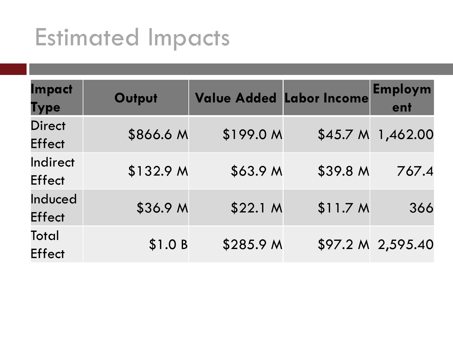#### Estimated Impacts

| Impact<br><b>Type</b>          | Output    | <b>Value Added Labor Income</b> |                     | Employm<br>ent    |
|--------------------------------|-----------|---------------------------------|---------------------|-------------------|
| <b>Direct</b><br><b>Effect</b> | \$866.6 M | \$199.0 M                       | \$45.7 <sub>M</sub> | 1,462.00          |
| Indirect<br><b>Effect</b>      | \$132.9 M | \$63.9 M                        | \$39.8 M            | 767.4             |
| Induced<br><b>Effect</b>       | \$36.9 M  | \$22.1 M                        | \$11.7 M            | 366               |
| Total<br><b>Effect</b>         | \$1.0 B   | \$285.9 M                       |                     | \$97.2 M 2,595.40 |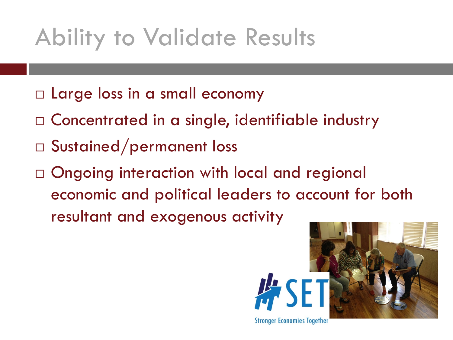#### Ability to Validate Results

- □ Large loss in a small economy
- $\square$  Concentrated in a single, identifiable industry
- Sustained/permanent loss
- $\square$  Ongoing interaction with local and regional economic and political leaders to account for both resultant and exogenous activity



**Stronger Economies Together**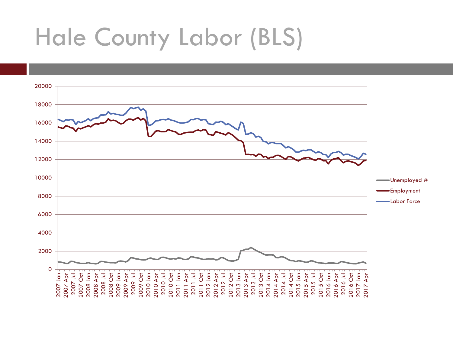#### Hale County Labor (BLS)

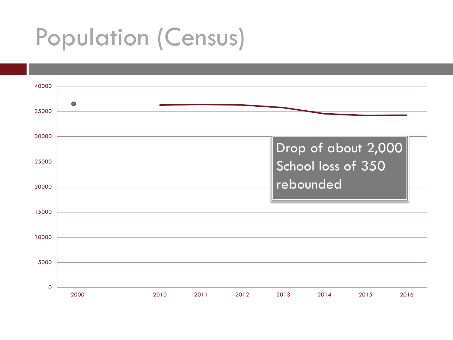#### Population (Census)

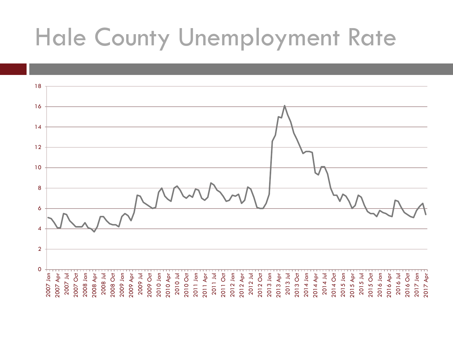#### Hale County Unemployment Rate

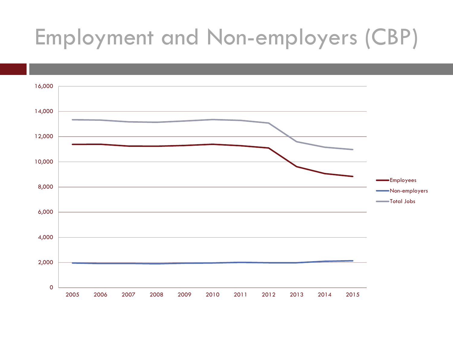#### Employment and Non-employers (CBP)

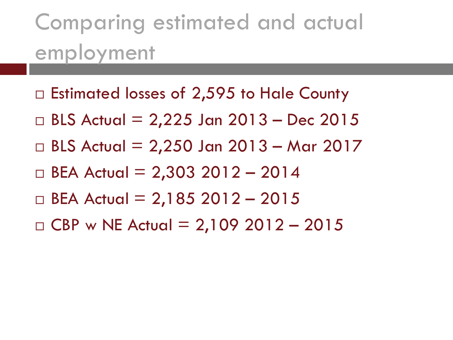#### Comparing estimated and actual employment

- $\Box$  Estimated losses of 2,595 to Hale County
- □ BLS Actual = 2,225 Jan 2013 Dec 2015
- $\Box$  BLS Actual = 2,250 Jan 2013 Mar 2017
- $\Box$  BEA Actual = 2,303 2012 2014
- $\Box$  BEA Actual = 2,185 2012 2015
- $D$  CBP w NE Actual = 2,109 2012 2015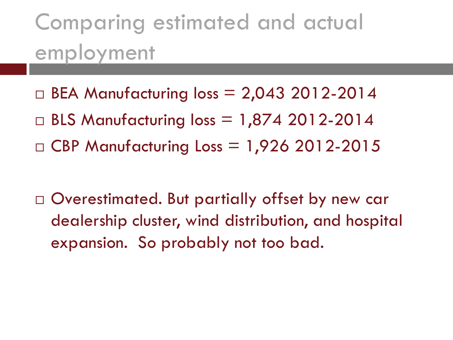#### Comparing estimated and actual employment

- $\Box$  BEA Manufacturing loss = 2,043 2012-2014
- $\Box$  BLS Manufacturing loss = 1,874 2012-2014
- $\Box$  CBP Manufacturing Loss = 1,926 2012-2015

□ Overestimated. But partially offset by new car dealership cluster, wind distribution, and hospital expansion. So probably not too bad.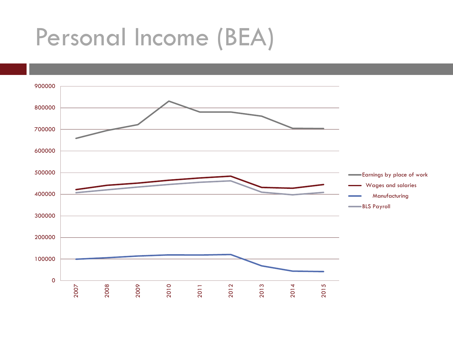#### Personal Income (BEA)

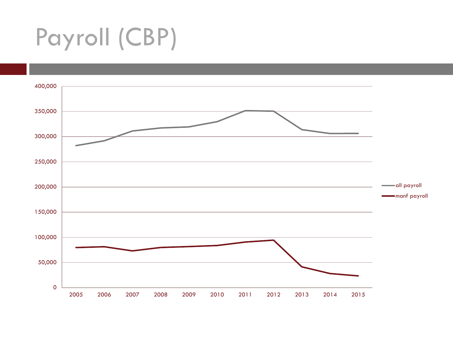## Payroll (CBP)

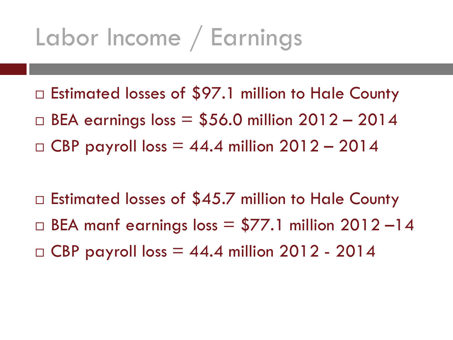#### Labor Income / Earnings

- □ Estimated losses of \$97.1 million to Hale County
- $\Box$  BEA earnings loss = \$56.0 million 2012 2014
- $\Box$  CBP payroll loss = 44.4 million 2012 2014

 $\Box$  Estimated losses of \$45.7 million to Hale County  $\Box$  BEA manf earnings loss = \$77.1 million 2012 -14  $\Box$  CBP payroll loss  $=$  44.4 million 2012 - 2014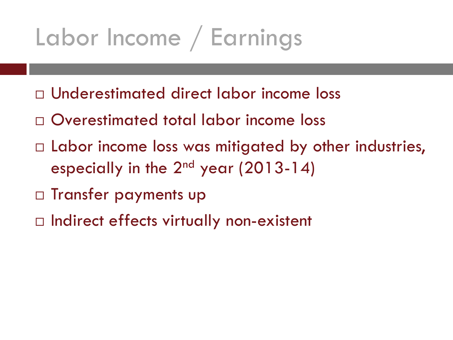### Labor Income / Earnings

- Underestimated direct labor income loss
- Overestimated total labor income loss
- $\Box$  Labor income loss was mitigated by other industries, especially in the  $2^{nd}$  year (2013-14)
- □ Transfer payments up
- □ Indirect effects virtually non-existent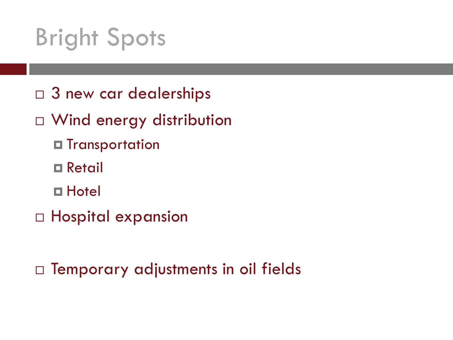#### Bright Spots

- □ 3 new car dealerships
- $\Box$  Wind energy distribution
	- **□ Transportation**
	- Retail
	- Hotel
- □ Hospital expansion

 $\Box$  Temporary adjustments in oil fields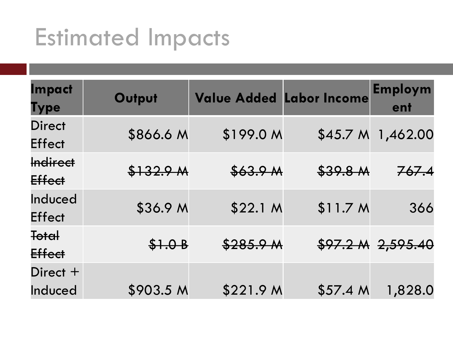#### Estimated Impacts

| <b>Impact</b><br><b>Type</b>   | Output    | <b>Value Added Labor Income</b> |                     | <b>Employm</b><br>ent |
|--------------------------------|-----------|---------------------------------|---------------------|-----------------------|
| <b>Direct</b><br><b>Effect</b> | \$866.6 M | \$199.0 M                       | \$45.7 <sub>M</sub> | 1,462.00              |
| <b>Indirect</b><br>Effect      | \$132.9 M | \$63.9 M                        | \$39.8 M            | 767.4                 |
| Induced<br><b>Effect</b>       | \$36.9 M  | \$22.1 M                        | \$11.7 M            | 366                   |
| <del>Total</del><br>Effect     | \$1.0B    | \$285.9 M                       |                     | $$97.2 M$ $2,595.40$  |
| Direct $+$<br>Induced          | \$903.5 M | \$221.9 M                       | \$57.4 <sub>M</sub> | 1,828.0               |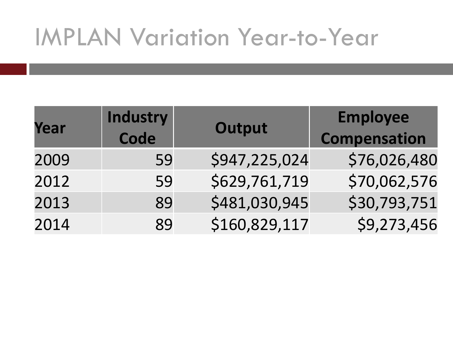#### IMPLAN Variation Year-to-Year

| Year | Industry<br>Code | Output        | <b>Employee</b><br><b>Compensation</b> |
|------|------------------|---------------|----------------------------------------|
| 2009 | 59               | \$947,225,024 | \$76,026,480                           |
| 2012 | 59               | \$629,761,719 | \$70,062,576                           |
| 2013 | 89               | \$481,030,945 | \$30,793,751                           |
| 2014 | 89               | \$160,829,117 | \$9,273,456                            |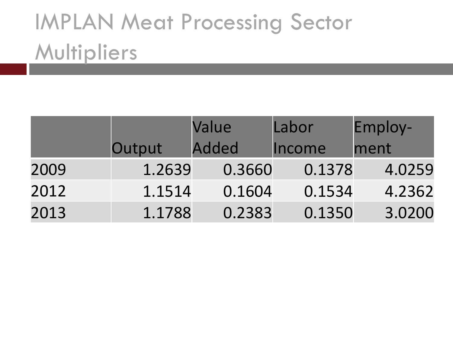#### IMPLAN Meat Processing Sector **Multipliers**

|      |        | Value        | Labor  | Employ- |
|------|--------|--------------|--------|---------|
|      | Output | <b>Added</b> | Income | ment    |
| 2009 | 1.2639 | 0.3660       | 0.1378 | 4.0259  |
| 2012 | 1.1514 | 0.1604       | 0.1534 | 4.2362  |
| 2013 | 1.1788 | 0.2383       | 0.1350 | 3.0200  |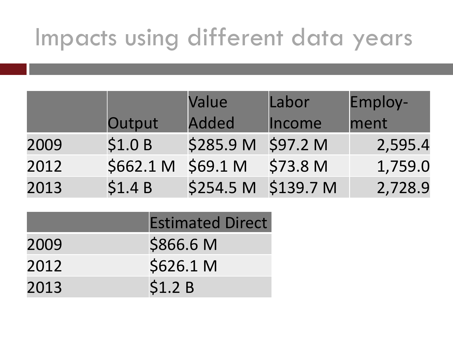#### Impacts using different data years

|      |           | Value        | Labor     | Employ- |
|------|-----------|--------------|-----------|---------|
|      | Output    | <b>Added</b> | Income    | ment    |
| 2009 | \$1.0 B   | \$285.9 M    | \$97.2 M  | 2,595.4 |
| 2012 | \$662.1 M | \$69.1 M     | \$73.8 M  | 1,759.0 |
| 2013 | \$1.4 B   | \$254.5 M    | \$139.7 M | 2,728.9 |

|      | <b>Estimated Direct</b> |
|------|-------------------------|
| 2009 | \$866.6 M               |
| 2012 | \$626.1 M               |
| 2013 | \$1.2 B                 |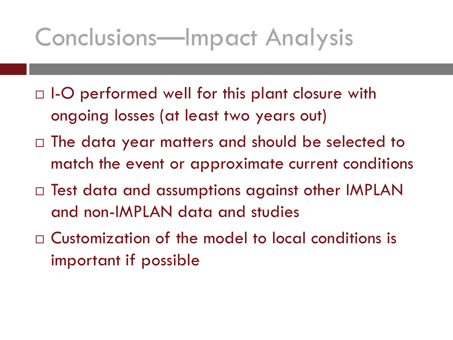#### Conclusions—Impact Analysis

- $\Box$  I-O performed well for this plant closure with ongoing losses (at least two years out)
- $\Box$  The data year matters and should be selected to match the event or approximate current conditions
- □ Test data and assumptions against other IMPLAN and non-IMPLAN data and studies
- Customization of the model to local conditions is important if possible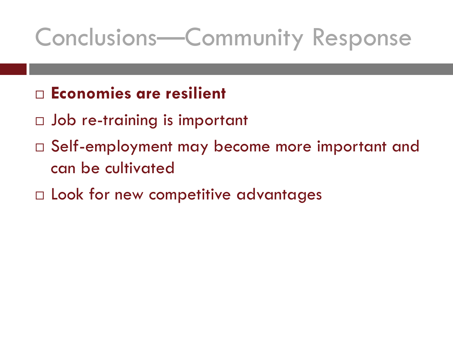#### Conclusions—Community Response

- **Economies are resilient**
- Job re-training is important
- Self-employment may become more important and can be cultivated
- $\Box$  Look for new competitive advantages